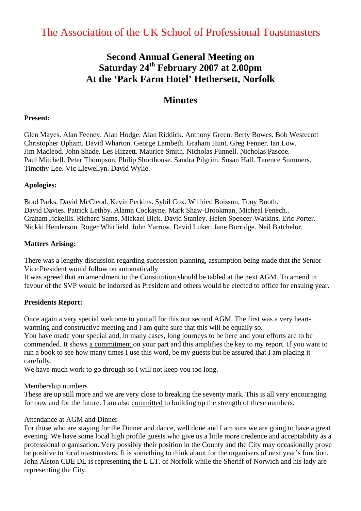# The Association of the UK School of Professional Toastmasters

# **Second Annual General Meeting on Saturday 24th February 2007 at 2.00pm At the 'Park Farm Hotel' Hethersett, Norfolk**

# **Minutes**

#### **Present:**

Glen Mayes. Alan Feeney. Alan Hodge. Alan Riddick. Anthony Green. Berty Bowes. Bob Westecott Christopher Upham. David Wharton. George Lambeth. Graham Hunt. Greg Fenner. Ian Low. Jim Macleod. John Shade. Les Hizzett. Maurice Smith. Nicholas Funnell. Nicholas Pascoe. Paul Mitchell. Peter Thompson. Philip Shorthouse. Sandra Pilgrim. Susan Hall. Terence Summers. Timothy Lee. Vic Llewellyn. David Wylie.

#### **Apologies:**

Brad Parks. David McCleod. Kevin Perkins. Sybil Cox. Wilfried Boisson, Tony Booth. David Davies. Patrick Lethby. Alamn Cockayne. Mark Shaw-Brookman, Micheal Fenech.. Graham Jickellls. Richard Sams. Mickael Bick. David Stanley. Helen Spencer-Watkins. Eric Porter. Nickki Henderson. Roger Whitfield. John Yarrow. David Luker. Jane Burridge. Neil Batchelor.

#### **Matters Arising:**

There was a lengthy discussion regarding succession planning, assumption being made that the Senior Vice President would follow on automatically

It was agreed that an amendment to the Constitution should be tabled at the next AGM. To amend in favour of the SVP would be indorsed as President and others would be elected to office for ensuing year.

#### **Presidents Report:**

Once again a very special welcome to you all for this our second AGM. The first was a very heartwarming and constructive meeting and I am quite sure that this will be equally so.

You have made your special and, in many cases, long journeys to be here and your efforts are to be commended. It shows a commitment on your part and this amplifies the key to my report. If you want to run a book to see how many times I use this word, be my guests but be assured that I am placing it carefully.

We have much work to go through so I will not keep you too long.

#### Membership numbers

These are up still more and we are very close to breaking the seventy mark. This is all very encouraging for now and for the future. I am also committed to building up the strength of these numbers.

#### Attendance at AGM and Dinner

For those who are staying for the Dinner and dance, well done and I am sure we are going to have a great evening. We have some local high profile guests who give us a little more credence and acceptability as a professional organisation. Very possibly their position in the County and the City may occasionally prove be positive to local toastmasters. It is something to think about for the organisers of next year's function. John Alston CBE DL is representing the L LT. of Norfolk while the Sheriff of Norwich and his lady are representing the City.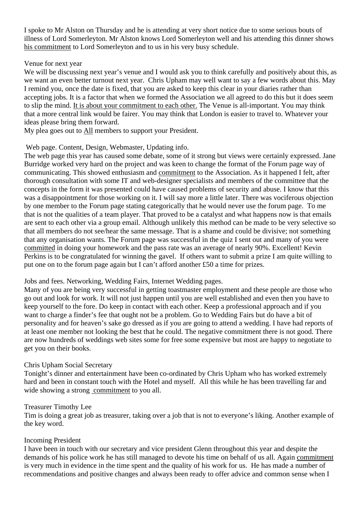I spoke to Mr Alston on Thursday and he is attending at very short notice due to some serious bouts of illness of Lord Somerleyton. Mr Alston knows Lord Somerleyton well and his attending this dinner shows his commitment to Lord Somerleyton and to us in his very busy schedule.

### Venue for next year

We will be discussing next year's venue and I would ask you to think carefully and positively about this, as we want an even better turnout next year. Chris Upham may well want to say a few words about this. May I remind you, once the date is fixed, that you are asked to keep this clear in your diaries rather than accepting jobs. It is a factor that when we formed the Association we all agreed to do this but it does seem to slip the mind. It is about your commitment to each other. The Venue is all-important. You may think that a more central link would be fairer. You may think that London is easier to travel to. Whatever your ideas please bring them forward.

My plea goes out to All members to support your President.

### Web page. Content, Design, Webmaster, Updating info.

The web page this year has caused some debate, some of it strong but views were certainly expressed. Jane Burridge worked very hard on the project and was keen to change the format of the Forum page way of communicating. This showed enthusiasm and commitment to the Association. As it happened I felt, after thorough consultation with some IT and web-designer specialists and members of the committee that the concepts in the form it was presented could have caused problems of security and abuse. I know that this was a disappointment for those working on it. I will say more a little later. There was vociferous objection by one member to the Forum page stating categorically that he would never use the forum page. To me that is not the qualities of a team player. That proved to be a catalyst and what happens now is that emails are sent to each other via a group email. Although unlikely this method can be made to be very selective so that all members do not see/hear the same message. That is a shame and could be divisive; not something that any organisation wants. The Forum page was successful in the quiz I sent out and many of you were committed in doing your homework and the pass rate was an average of nearly 90%. Excellent! Kevin Perkins is to be congratulated for winning the gavel. If others want to submit a prize I am quite willing to put one on to the forum page again but I can't afford another £50 a time for prizes.

### Jobs and fees. Networking, Wedding Fairs, Internet Wedding pages.

Many of you are being very successful in getting toastmaster employment and these people are those who go out and look for work. It will not just happen until you are well established and even then you have to keep yourself to the fore. Do keep in contact with each other. Keep a professional approach and if you want to charge a finder's fee that ought not be a problem. Go to Wedding Fairs but do have a bit of personality and for heaven's sake go dressed as if you are going to attend a wedding. I have had reports of at least one member not looking the best that he could. The negative commitment there is not good. There are now hundreds of weddings web sites some for free some expensive but most are happy to negotiate to get you on their books.

### Chris Upham Social Secretary

Tonight's dinner and entertainment have been co-ordinated by Chris Upham who has worked extremely hard and been in constant touch with the Hotel and myself. All this while he has been travelling far and wide showing a strong commitment to you all.

#### Treasurer Timothy Lee

Tim is doing a great job as treasurer, taking over a job that is not to everyone's liking. Another example of the key word.

#### Incoming President

I have been in touch with our secretary and vice president Glenn throughout this year and despite the demands of his police work he has still managed to devote his time on behalf of us all. Again commitment is very much in evidence in the time spent and the quality of his work for us. He has made a number of recommendations and positive changes and always been ready to offer advice and common sense when I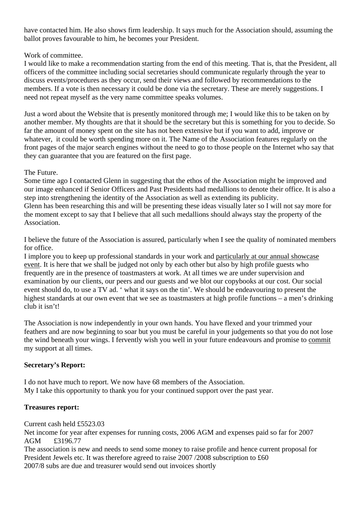have contacted him. He also shows firm leadership. It says much for the Association should, assuming the ballot proves favourable to him, he becomes your President.

### Work of committee.

I would like to make a recommendation starting from the end of this meeting. That is, that the President, all officers of the committee including social secretaries should communicate regularly through the year to discuss events/procedures as they occur, send their views and followed by recommendations to the members. If a vote is then necessary it could be done via the secretary. These are merely suggestions. I need not repeat myself as the very name committee speaks volumes.

Just a word about the Website that is presently monitored through me; I would like this to be taken on by another member. My thoughts are that it should be the secretary but this is something for you to decide. So far the amount of money spent on the site has not been extensive but if you want to add, improve or whatever, it could be worth spending more on it. The Name of the Association features regularly on the front pages of the major search engines without the need to go to those people on the Internet who say that they can guarantee that you are featured on the first page.

# The Future.

Some time ago I contacted Glenn in suggesting that the ethos of the Association might be improved and our image enhanced if Senior Officers and Past Presidents had medallions to denote their office. It is also a step into strengthening the identity of the Association as well as extending its publicity. Glenn has been researching this and will be presenting these ideas visually later so I will not say more for the moment except to say that I believe that all such medallions should always stay the property of the Association.

I believe the future of the Association is assured, particularly when I see the quality of nominated members for office.

I implore you to keep up professional standards in your work and particularly at our annual showcase event. It is here that we shall be judged not only by each other but also by high profile guests who frequently are in the presence of toastmasters at work. At all times we are under supervision and examination by our clients, our peers and our guests and we blot our copybooks at our cost. Our social event should do, to use a TV ad. ' what it says on the tin'. We should be endeavouring to present the highest standards at our own event that we see as toastmasters at high profile functions – a men's drinking club it isn't!

The Association is now independently in your own hands. You have flexed and your trimmed your feathers and are now beginning to soar but you must be careful in your judgements so that you do not lose the wind beneath your wings. I fervently wish you well in your future endeavours and promise to commit my support at all times.

# **Secretary's Report:**

I do not have much to report. We now have 68 members of the Association. My I take this opportunity to thank you for your continued support over the past year.

### **Treasures report:**

Current cash held £5523.03

Net income for year after expenses for running costs, 2006 AGM and expenses paid so far for 2007 AGM £3196.77

The association is new and needs to send some money to raise profile and hence current proposal for President Jewels etc. It was therefore agreed to raise 2007 /2008 subscription to £60 2007/8 subs are due and treasurer would send out invoices shortly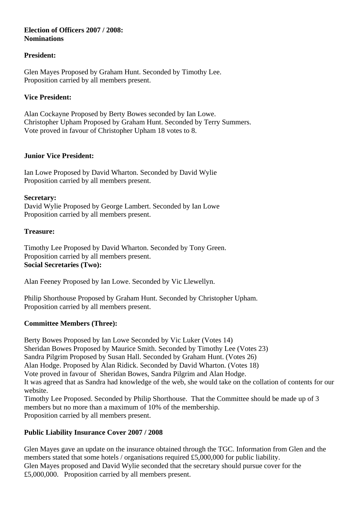### **Election of Officers 2007 / 2008: Nominations**

# **President:**

Glen Mayes Proposed by Graham Hunt. Seconded by Timothy Lee. Proposition carried by all members present.

# **Vice President:**

Alan Cockayne Proposed by Berty Bowes seconded by Ian Lowe. Christopher Upham Proposed by Graham Hunt. Seconded by Terry Summers. Vote proved in favour of Christopher Upham 18 votes to 8.

# **Junior Vice President:**

Ian Lowe Proposed by David Wharton. Seconded by David Wylie Proposition carried by all members present.

### **Secretary:**

David Wylie Proposed by George Lambert. Seconded by Ian Lowe Proposition carried by all members present.

# **Treasure:**

Timothy Lee Proposed by David Wharton. Seconded by Tony Green. Proposition carried by all members present. **Social Secretaries (Two):** 

Alan Feeney Proposed by Ian Lowe. Seconded by Vic Llewellyn.

Philip Shorthouse Proposed by Graham Hunt. Seconded by Christopher Upham. Proposition carried by all members present.

# **Committee Members (Three):**

Berty Bowes Proposed by Ian Lowe Seconded by Vic Luker (Votes 14) Sheridan Bowes Proposed by Maurice Smith. Seconded by Timothy Lee (Votes 23) Sandra Pilgrim Proposed by Susan Hall. Seconded by Graham Hunt. (Votes 26) Alan Hodge. Proposed by Alan Ridick. Seconded by David Wharton. (Votes 18) Vote proved in favour of Sheridan Bowes, Sandra Pilgrim and Alan Hodge. It was agreed that as Sandra had knowledge of the web, she would take on the collation of contents for our website. Timothy Lee Proposed. Seconded by Philip Shorthouse. That the Committee should be made up of 3 members but no more than a maximum of 10% of the membership. Proposition carried by all members present.

# **Public Liability Insurance Cover 2007 / 2008**

Glen Mayes gave an update on the insurance obtained through the TGC. Information from Glen and the members stated that some hotels / organisations required £5,000,000 for public liability. Glen Mayes proposed and David Wylie seconded that the secretary should pursue cover for the £5,000,000. Proposition carried by all members present.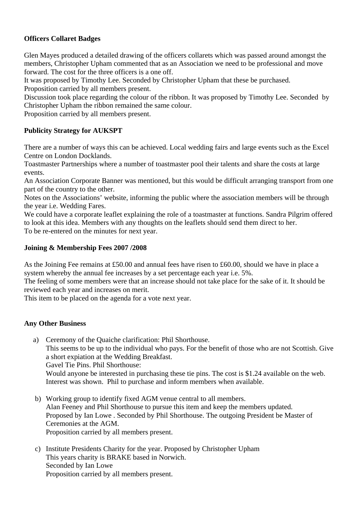# **Officers Collaret Badges**

Glen Mayes produced a detailed drawing of the officers collarets which was passed around amongst the members, Christopher Upham commented that as an Association we need to be professional and move forward. The cost for the three officers is a one off.

It was proposed by Timothy Lee. Seconded by Christopher Upham that these be purchased.

Proposition carried by all members present.

Discussion took place regarding the colour of the ribbon. It was proposed by Timothy Lee. Seconded by Christopher Upham the ribbon remained the same colour.

Proposition carried by all members present.

# **Publicity Strategy for AUKSPT**

There are a number of ways this can be achieved. Local wedding fairs and large events such as the Excel Centre on London Docklands.

Toastmaster Partnerships where a number of toastmaster pool their talents and share the costs at large events.

An Association Corporate Banner was mentioned, but this would be difficult arranging transport from one part of the country to the other.

Notes on the Associations' website, informing the public where the association members will be through the year i.e. Wedding Fares.

We could have a corporate leaflet explaining the role of a toastmaster at functions. Sandra Pilgrim offered to look at this idea. Members with any thoughts on the leaflets should send them direct to her. To be re-entered on the minutes for next year.

# **Joining & Membership Fees 2007 /2008**

As the Joining Fee remains at £50.00 and annual fees have risen to £60.00, should we have in place a system whereby the annual fee increases by a set percentage each year i.e. 5%.

The feeling of some members were that an increase should not take place for the sake of it. It should be reviewed each year and increases on merit.

This item to be placed on the agenda for a vote next year.

# **Any Other Business**

 a) Ceremony of the Quaiche clarification: Phil Shorthouse. This seems to be up to the individual who pays. For the benefit of those who are not Scottish. Give a short expiation at the Wedding Breakfast. Gavel Tie Pins. Phil Shorthouse:

Would anyone be interested in purchasing these tie pins. The cost is \$1.24 available on the web. Interest was shown. Phil to purchase and inform members when available.

- b) Working group to identify fixed AGM venue central to all members. Alan Feeney and Phil Shorthouse to pursue this item and keep the members updated. Proposed by Ian Lowe . Seconded by Phil Shorthouse. The outgoing President be Master of Ceremonies at the AGM. Proposition carried by all members present.
- c) Institute Presidents Charity for the year. Proposed by Christopher Upham This years charity is BRAKE based in Norwich. Seconded by Ian Lowe Proposition carried by all members present.